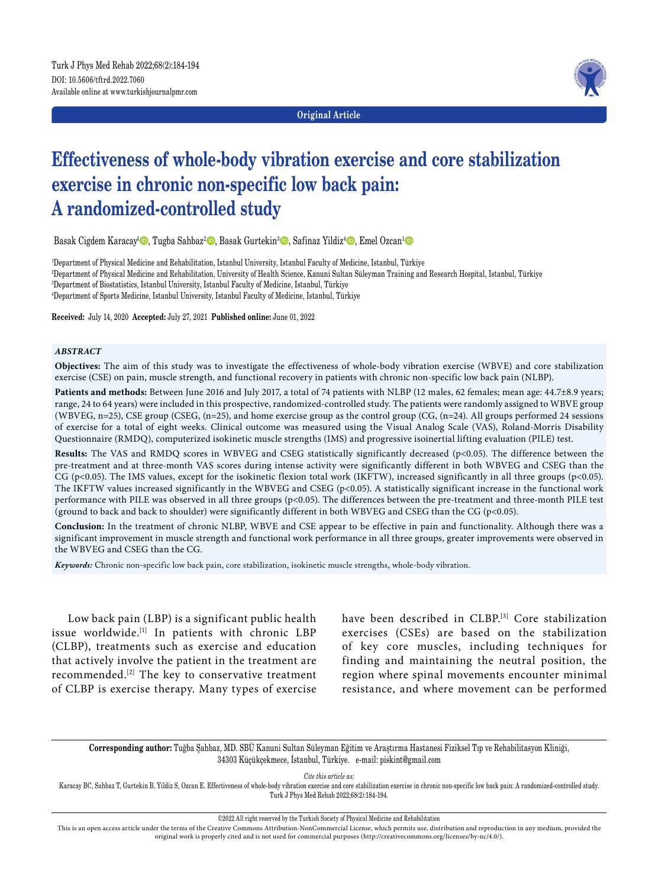

**Original Article**

# **Effectiveness of whole-body vibration exercise and core stabilization exercise in chronic non-specific low back pain: A randomized-controlled study**

Basak Cigdem Karacay<sup>1</sup><sup>®</sup>, Tugba Sahbaz<sup>2</sup><sup>®</sup>, Basak Gurtekin<sup>3</sup><sup>®</sup>, Safinaz Yildiz<sup>4</sup><sup>®</sup>, Emel Ozcan<sup>1</sup><sup>®</sup>

 Department of Physical Medicine and Rehabilitation, Istanbul University, Istanbul Faculty of Medicine, Istanbul, Türkiye Department of Physical Medicine and Rehabilitation, University of Health Science, Kanuni Sultan Süleyman Training and Research Hospital, Istanbul, Türkiye Department of Biostatistics, Istanbul University, Istanbul Faculty of Medicine, Istanbul, Türkiye Department of Sports Medicine, Istanbul University, Istanbul Faculty of Medicine, Istanbul, Türkiye

**Received:** July 14, 2020 **Accepted:** July 27, 2021 **Published online:** June 01, 2022

#### *ABSTRACT*

**Objectives:** The aim of this study was to investigate the effectiveness of whole-body vibration exercise (WBVE) and core stabilization exercise (CSE) on pain, muscle strength, and functional recovery in patients with chronic non-specific low back pain (NLBP).

**Patients and methods:** Between June 2016 and July 2017, a total of 74 patients with NLBP (12 males, 62 females; mean age: 44.7±8.9 years; range, 24 to 64 years) were included in this prospective, randomized-controlled study. The patients were randomly assigned to WBVE group (WBVEG, n=25), CSE group (CSEG, (n=25), and home exercise group as the control group (CG, (n=24). All groups performed 24 sessions of exercise for a total of eight weeks. Clinical outcome was measured using the Visual Analog Scale (VAS), Roland-Morris Disability Questionnaire (RMDQ), computerized isokinetic muscle strengths (IMS) and progressive isoinertial lifting evaluation (PILE) test.

**Results:** The VAS and RMDQ scores in WBVEG and CSEG statistically significantly decreased (p<0.05). The difference between the pre-treatment and at three-month VAS scores during intense activity were significantly different in both WBVEG and CSEG than the CG (p<0.05). The IMS values, except for the isokinetic flexion total work (IKFTW), increased significantly in all three groups (p<0.05). The IKFTW values increased significantly in the WBVEG and CSEG ( $p<0.05$ ). A statistically significant increase in the functional work performance with PILE was observed in all three groups (p<0.05). The differences between the pre-treatment and three-month PILE test (ground to back and back to shoulder) were significantly different in both WBVEG and CSEG than the CG (p<0.05).

**Conclusion:** In the treatment of chronic NLBP, WBVE and CSE appear to be effective in pain and functionality. Although there was a significant improvement in muscle strength and functional work performance in all three groups, greater improvements were observed in the WBVEG and CSEG than the CG.

*Keywords:* Chronic non-specific low back pain, core stabilization, isokinetic muscle strengths, whole-body vibration.

Low back pain (LBP) is a significant public health issue worldwide.[1] In patients with chronic LBP (CLBP), treatments such as exercise and education that actively involve the patient in the treatment are recommended.[2] The key to conservative treatment of CLBP is exercise therapy. Many types of exercise have been described in CLBP.[3] Core stabilization exercises (CSEs) are based on the stabilization of key core muscles, including techniques for finding and maintaining the neutral position, the region where spinal movements encounter minimal resistance, and where movement can be performed

**Corresponding author:** Tuğba Şahbaz, MD. SBÜ Kanuni Sultan Süleyman Eğitim ve Araştırma Hastanesi Fiziksel Tıp ve Rehabilitasyon Kliniği, 34303 Küçükçekmece, İstanbul, Türkiye. e-mail: piskint@gmail.com

*Cite this article as:*

Karacay BC, Sahbaz T, Gurtekin B, Yildiz S, Ozcan E. Effectiveness of whole-body vibration exercise and core stabilization exercise in chronic non-specific low back pain: A randomized-controlled study. Turk J Phys Med Rehab 2022;68(2):184-194.

©2022 All right reserved by the Turkish Society of Physical Medicine and Rehabilitation

This is an open access article under the terms of the Creative Commons Attribution-NonCommercial License, which permits use, distribution and reproduction in any medium, provided the original work is properly cited and is not used for commercial purposes (http://creativecommons.org/licenses/by-nc/4.0/).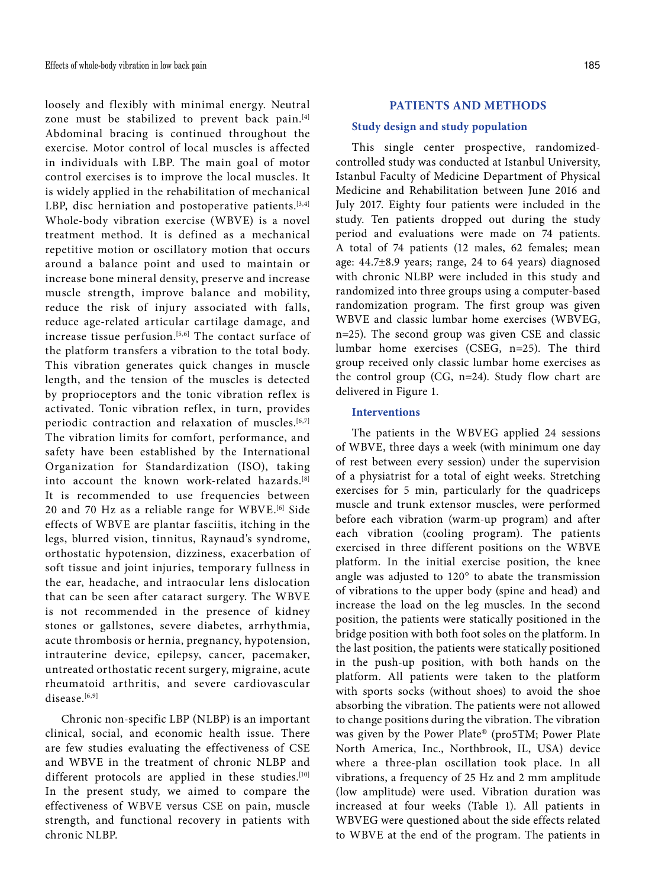loosely and flexibly with minimal energy. Neutral zone must be stabilized to prevent back pain.[4] Abdominal bracing is continued throughout the exercise. Motor control of local muscles is affected in individuals with LBP. The main goal of motor control exercises is to improve the local muscles. It is widely applied in the rehabilitation of mechanical LBP, disc herniation and postoperative patients.<sup>[3,4]</sup> Whole-body vibration exercise (WBVE) is a novel treatment method. It is defined as a mechanical repetitive motion or oscillatory motion that occurs around a balance point and used to maintain or increase bone mineral density, preserve and increase muscle strength, improve balance and mobility, reduce the risk of injury associated with falls, reduce age-related articular cartilage damage, and increase tissue perfusion.<sup>[5,6]</sup> The contact surface of the platform transfers a vibration to the total body. This vibration generates quick changes in muscle length, and the tension of the muscles is detected by proprioceptors and the tonic vibration reflex is activated. Tonic vibration reflex, in turn, provides periodic contraction and relaxation of muscles.<sup>[6,7]</sup> The vibration limits for comfort, performance, and safety have been established by the International Organization for Standardization (ISO), taking into account the known work-related hazards.[8] It is recommended to use frequencies between 20 and 70 Hz as a reliable range for WBVE.<sup>[6]</sup> Side effects of WBVE are plantar fasciitis, itching in the legs, blurred vision, tinnitus, Raynaud's syndrome, orthostatic hypotension, dizziness, exacerbation of soft tissue and joint injuries, temporary fullness in the ear, headache, and intraocular lens dislocation that can be seen after cataract surgery. The WBVE is not recommended in the presence of kidney stones or gallstones, severe diabetes, arrhythmia, acute thrombosis or hernia, pregnancy, hypotension, intrauterine device, epilepsy, cancer, pacemaker, untreated orthostatic recent surgery, migraine, acute rheumatoid arthritis, and severe cardiovascular disease.[6,9]

Chronic non-specific LBP (NLBP) is an important clinical, social, and economic health issue. There are few studies evaluating the effectiveness of CSE and WBVE in the treatment of chronic NLBP and different protocols are applied in these studies.<sup>[10]</sup> In the present study, we aimed to compare the effectiveness of WBVE versus CSE on pain, muscle strength, and functional recovery in patients with chronic NLBP.

## **PATIENTS AND METHODS**

## **Study design and study population**

This single center prospective, randomizedcontrolled study was conducted at Istanbul University, Istanbul Faculty of Medicine Department of Physical Medicine and Rehabilitation between June 2016 and July 2017. Eighty four patients were included in the study. Ten patients dropped out during the study period and evaluations were made on 74 patients. A total of 74 patients (12 males, 62 females; mean age: 44.7±8.9 years; range, 24 to 64 years) diagnosed with chronic NLBP were included in this study and randomized into three groups using a computer-based randomization program. The first group was given WBVE and classic lumbar home exercises (WBVEG, n=25). The second group was given CSE and classic lumbar home exercises (CSEG, n=25). The third group received only classic lumbar home exercises as the control group (CG, n=24). Study flow chart are delivered in Figure 1.

### **Interventions**

The patients in the WBVEG applied 24 sessions of WBVE, three days a week (with minimum one day of rest between every session) under the supervision of a physiatrist for a total of eight weeks. Stretching exercises for 5 min, particularly for the quadriceps muscle and trunk extensor muscles, were performed before each vibration (warm-up program) and after each vibration (cooling program). The patients exercised in three different positions on the WBVE platform. In the initial exercise position, the knee angle was adjusted to 120° to abate the transmission of vibrations to the upper body (spine and head) and increase the load on the leg muscles. In the second position, the patients were statically positioned in the bridge position with both foot soles on the platform. In the last position, the patients were statically positioned in the push-up position, with both hands on the platform. All patients were taken to the platform with sports socks (without shoes) to avoid the shoe absorbing the vibration. The patients were not allowed to change positions during the vibration. The vibration was given by the Power Plate® (pro5TM; Power Plate North America, Inc., Northbrook, IL, USA) device where a three-plan oscillation took place. In all vibrations, a frequency of 25 Hz and 2 mm amplitude (low amplitude) were used. Vibration duration was increased at four weeks (Table 1). All patients in WBVEG were questioned about the side effects related to WBVE at the end of the program. The patients in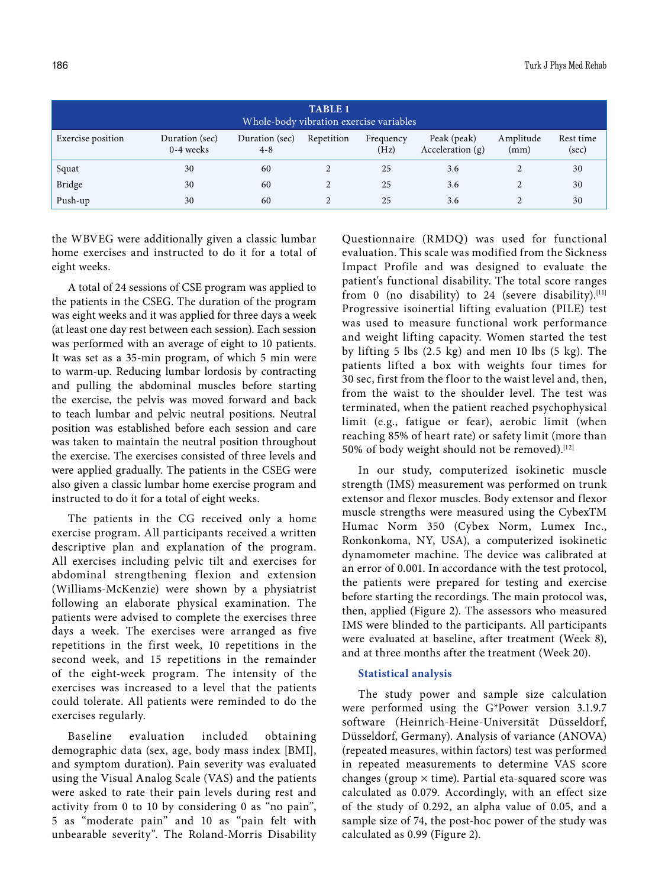| <b>TABLE 1</b><br>Whole-body vibration exercise variables |                               |                           |            |                   |                                   |                   |                    |  |  |  |  |  |
|-----------------------------------------------------------|-------------------------------|---------------------------|------------|-------------------|-----------------------------------|-------------------|--------------------|--|--|--|--|--|
| Exercise position                                         | Duration (sec)<br>$0-4$ weeks | Duration (sec)<br>$4 - 8$ | Repetition | Frequency<br>(Hz) | Peak (peak)<br>Acceleration $(g)$ | Amplitude<br>(mm) | Rest time<br>(sec) |  |  |  |  |  |
| Squat                                                     | 30                            | 60                        | 2          | 25                | 3.6                               |                   | 30                 |  |  |  |  |  |
| Bridge                                                    | 30                            | 60                        |            | 25                | 3.6                               |                   | 30                 |  |  |  |  |  |
| Push-up                                                   | 30                            | 60                        |            | 25                | 3.6                               |                   | 30                 |  |  |  |  |  |

the WBVEG were additionally given a classic lumbar home exercises and instructed to do it for a total of eight weeks.

A total of 24 sessions of CSE program was applied to the patients in the CSEG. The duration of the program was eight weeks and it was applied for three days a week (at least one day rest between each session). Each session was performed with an average of eight to 10 patients. It was set as a 35-min program, of which 5 min were to warm-up. Reducing lumbar lordosis by contracting and pulling the abdominal muscles before starting the exercise, the pelvis was moved forward and back to teach lumbar and pelvic neutral positions. Neutral position was established before each session and care was taken to maintain the neutral position throughout the exercise. The exercises consisted of three levels and were applied gradually. The patients in the CSEG were also given a classic lumbar home exercise program and instructed to do it for a total of eight weeks.

The patients in the CG received only a home exercise program. All participants received a written descriptive plan and explanation of the program. All exercises including pelvic tilt and exercises for abdominal strengthening flexion and extension (Williams-McKenzie) were shown by a physiatrist following an elaborate physical examination. The patients were advised to complete the exercises three days a week. The exercises were arranged as five repetitions in the first week, 10 repetitions in the second week, and 15 repetitions in the remainder of the eight-week program. The intensity of the exercises was increased to a level that the patients could tolerate. All patients were reminded to do the exercises regularly.

Baseline evaluation included obtaining demographic data (sex, age, body mass index [BMI], and symptom duration). Pain severity was evaluated using the Visual Analog Scale (VAS) and the patients were asked to rate their pain levels during rest and activity from 0 to 10 by considering 0 as "no pain", 5 as "moderate pain" and 10 as "pain felt with unbearable severity". The Roland-Morris Disability Questionnaire (RMDQ) was used for functional evaluation. This scale was modified from the Sickness Impact Profile and was designed to evaluate the patient's functional disability. The total score ranges from 0 (no disability) to 24 (severe disability).  $[11]$ Progressive isoinertial lifting evaluation (PILE) test was used to measure functional work performance and weight lifting capacity. Women started the test by lifting 5 lbs (2.5 kg) and men 10 lbs (5 kg). The patients lifted a box with weights four times for 30 sec, first from the floor to the waist level and, then, from the waist to the shoulder level. The test was terminated, when the patient reached psychophysical limit (e.g., fatigue or fear), aerobic limit (when reaching 85% of heart rate) or safety limit (more than 50% of body weight should not be removed).[12]

In our study, computerized isokinetic muscle strength (IMS) measurement was performed on trunk extensor and flexor muscles. Body extensor and flexor muscle strengths were measured using the CybexTM Humac Norm 350 (Cybex Norm, Lumex Inc., Ronkonkoma, NY, USA), a computerized isokinetic dynamometer machine. The device was calibrated at an error of 0.001. In accordance with the test protocol, the patients were prepared for testing and exercise before starting the recordings. The main protocol was, then, applied (Figure 2). The assessors who measured IMS were blinded to the participants. All participants were evaluated at baseline, after treatment (Week 8), and at three months after the treatment (Week 20).

#### **Statistical analysis**

The study power and sample size calculation were performed using the G\*Power version 3.1.9.7 software (Heinrich-Heine-Universität Düsseldorf, Düsseldorf, Germany). Analysis of variance (ANOVA) (repeated measures, within factors) test was performed in repeated measurements to determine VAS score changes (group  $\times$  time). Partial eta-squared score was calculated as 0.079. Accordingly, with an effect size of the study of 0.292, an alpha value of 0.05, and a sample size of 74, the post-hoc power of the study was calculated as 0.99 (Figure 2).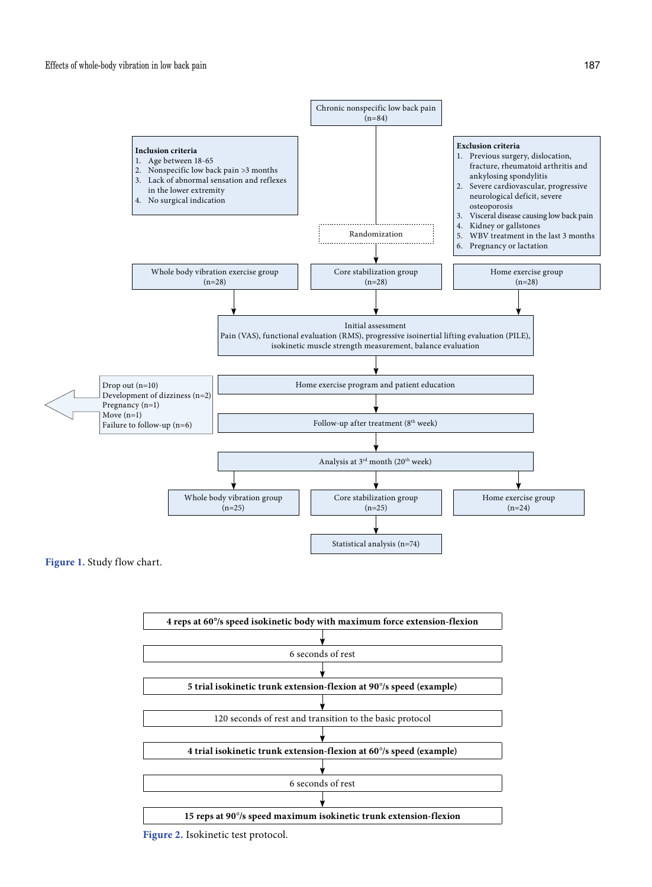

**15 reps at 90**°**/s speed maximum isokinetic trunk extension-flexion**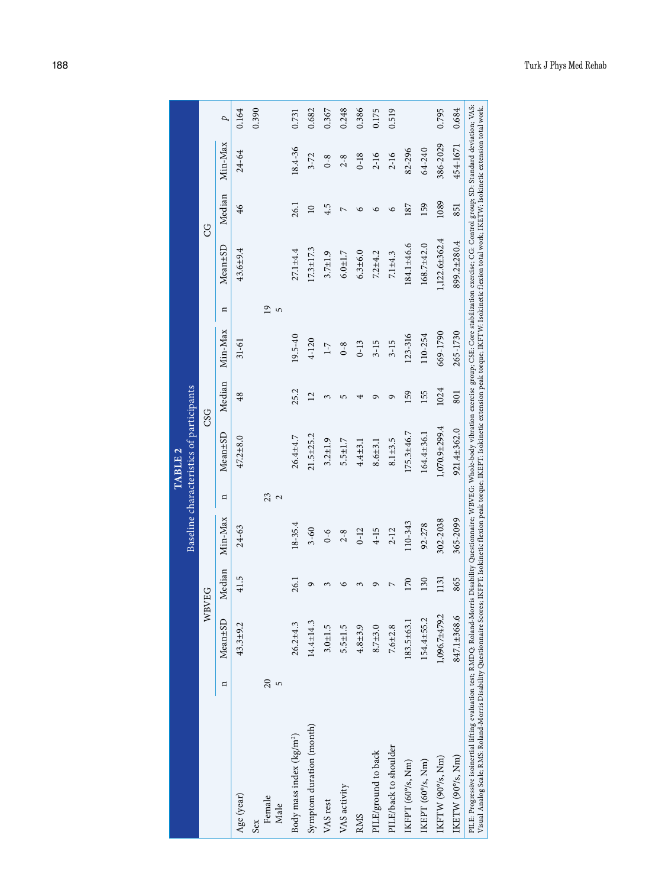|                                                                                                                                                                                                                                                                                                                                                                                                                                                                 |         |               |        |             |              | <b>TABLE 2</b>                           |        |             |                      |                 |                 |             |       |
|-----------------------------------------------------------------------------------------------------------------------------------------------------------------------------------------------------------------------------------------------------------------------------------------------------------------------------------------------------------------------------------------------------------------------------------------------------------------|---------|---------------|--------|-------------|--------------|------------------------------------------|--------|-------------|----------------------|-----------------|-----------------|-------------|-------|
|                                                                                                                                                                                                                                                                                                                                                                                                                                                                 |         |               |        |             |              | Baseline characteristics of participants |        |             |                      |                 |                 |             |       |
|                                                                                                                                                                                                                                                                                                                                                                                                                                                                 |         |               | WBVEG  |             |              |                                          | CSG    |             |                      |                 | g               |             |       |
|                                                                                                                                                                                                                                                                                                                                                                                                                                                                 | n       | Mean±SD       | Median | Min-Max     | n            | Mean±SD                                  | Median | Min-Max     | n                    | Mean±SD         | Median          | Min-Max     | Þ     |
| Age (year)                                                                                                                                                                                                                                                                                                                                                                                                                                                      |         | $43.3 + 9.2$  | 41.5   | $24 - 63$   |              | $47.2 + 8.0$                             | 48     | $31 - 61$   |                      | $43.6 \pm 9.4$  | 46              | 24-64       | 0.164 |
| Sex                                                                                                                                                                                                                                                                                                                                                                                                                                                             |         |               |        |             |              |                                          |        |             |                      |                 |                 |             | 0.390 |
| Female<br>Male                                                                                                                                                                                                                                                                                                                                                                                                                                                  | 20<br>5 |               |        |             | 23<br>$\sim$ |                                          |        |             | $\overline{19}$<br>5 |                 |                 |             |       |
| Body mass index (kg/m <sup>2</sup> )                                                                                                                                                                                                                                                                                                                                                                                                                            |         | $26.2 + 4.3$  | 26.1   | $18 - 35.4$ |              | 26.4±4.7                                 | 25.2   | $19.5 - 40$ |                      | $27.1 + 4.4$    | 26.1            | $18.4 - 36$ | 0.731 |
| Symptom duration (month)                                                                                                                                                                                                                                                                                                                                                                                                                                        |         | 14.4±14.3     | ٩      | $3 - 60$    |              | $21.5 \pm 25.2$                          | 12     | 4-120       |                      | $17.3 \pm 17.3$ | $\overline{10}$ | $3 - 72$    | 0.682 |
| VAS rest                                                                                                                                                                                                                                                                                                                                                                                                                                                        |         | $3.0 + 1.5$   | 3      | $0-6$       |              | $3.2 + 1.9$                              | 3      | $1-7$       |                      | $3.7 \pm 1.9$   | 4.5             | $0 - 8$     | 0.367 |
| VAS activity                                                                                                                                                                                                                                                                                                                                                                                                                                                    |         | $5.5 \pm 1.5$ | O      | $2 - 8$     |              | $5.5 \pm 1.7$                            | 5      | $0 - 8$     |                      | $6.0 + 1.7$     | $\overline{a}$  | $2 - 8$     | 0.248 |
| <b>RMS</b>                                                                                                                                                                                                                                                                                                                                                                                                                                                      |         | $4.8 + 3.9$   | 3      | $0 - 12$    |              | $4.4 \pm 3.1$                            |        | $0 - 13$    |                      | $6.3 \pm 6.0$   | $\circ$         | $0 - 18$    | 0.386 |
| PILE/ground to back                                                                                                                                                                                                                                                                                                                                                                                                                                             |         | $8.7 + 3.0$   | ٩      | $4 - 15$    |              | $8.6 + 3.1$                              | ٩      | $3 - 15$    |                      | $7.2 + 4.2$     | $\circ$         | $2 - 16$    | 0.175 |
| PILE/back to shoulder                                                                                                                                                                                                                                                                                                                                                                                                                                           |         | $7.6 + 2.8$   |        | $2 - 12$    |              | $8.1 + 3.5$                              | ٩      | $3 - 15$    |                      | $7.1 + 4.3$     | ৩               | $2 - 16$    | 0.519 |
| IKFPT $(60°/s, Nm)$                                                                                                                                                                                                                                                                                                                                                                                                                                             |         | 183.5±63.1    | 170    | 110-343     |              | 175.3±46.7                               | 159    | 123-316     |                      | 184.1±46.6      | 187             | 82-296      |       |
| IKEPT (60%, Nm)                                                                                                                                                                                                                                                                                                                                                                                                                                                 |         | 154.4±55.2    | 130    | 92-278      |              | 164.4±36.1                               | 155    | 110-254     |                      | 168.7±42.0      | 159             | 64-240      |       |
| IKFTW (90%, $Nm$ )                                                                                                                                                                                                                                                                                                                                                                                                                                              |         | 1,096.7±479.2 | 1131   | 302-2038    |              | $1,070.9 + 299.4$                        | 1024   | 669-1790    |                      | 1,122.6±362.4   | 1089            | 386-2029    | 0.795 |
| IKETW (90%, Nm)                                                                                                                                                                                                                                                                                                                                                                                                                                                 |         | 847.1±368.6   | 865    | 365-2099    |              | $921.4 \pm 362.0$                        | 801    | 265-1730    |                      | 899.2±280.4     | 851             | 454-1671    | 0.684 |
| PILE: Progressive isoinertial lifting evaluation test; RMDQ: Roland-Morris Disability Questionnaire; WBVEG: Whole-body vibration exercise group; CSE: Core stabilization exercise; CG: Control group; SD: Standard deviation;<br>Visual Analog Scale; RMS: Roland-Morris Disability Questionnaire Scores; IKFPT: Isokinetic flexion peak torque; IKFPP: Isokinetic extension peak torque; IKFTW: Isokinetic flexion total work; IKETW: Isokinetic extension tot |         |               |        |             |              |                                          |        |             |                      |                 |                 |             |       |
|                                                                                                                                                                                                                                                                                                                                                                                                                                                                 |         |               |        |             |              |                                          |        |             |                      |                 |                 |             |       |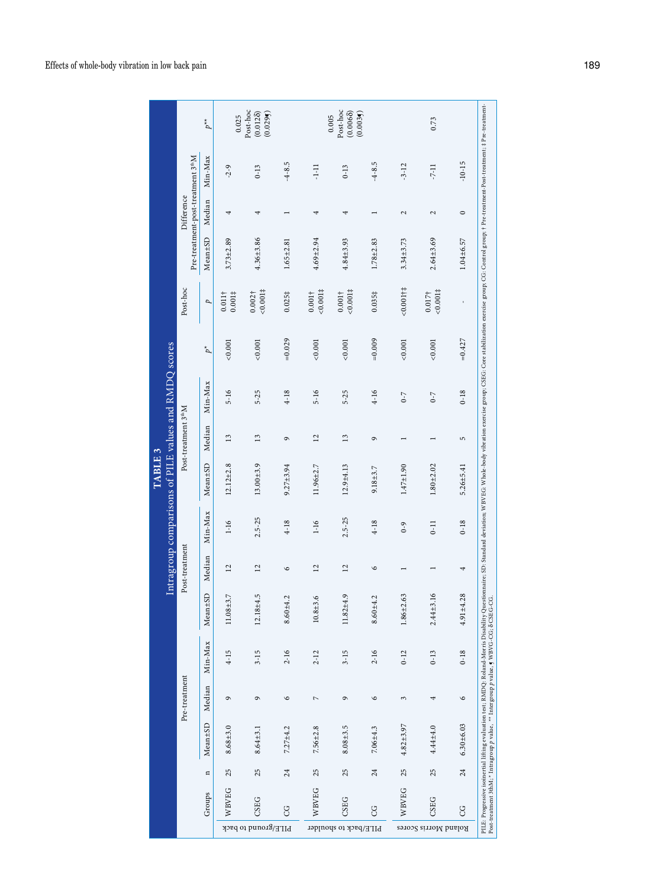|                                                                  |                                                | $p^{\ast\ast}$   | 0.025                             | Post-hoc<br>$(0.012\delta)$<br>$(0.029\textbf{f})$ |                 |                               | Post-hoc<br>(0.0068)<br>(0.003)<br>0.005 |               |               | 0.73                          |                    |                                                                                                                                                                                                 |
|------------------------------------------------------------------|------------------------------------------------|------------------|-----------------------------------|----------------------------------------------------|-----------------|-------------------------------|------------------------------------------|---------------|---------------|-------------------------------|--------------------|-------------------------------------------------------------------------------------------------------------------------------------------------------------------------------------------------|
|                                                                  | Pre-treatment-post-treatment 3 <sup>th</sup> M | Min-Max          | $-2-9$                            | $0 - 13$                                           | $-4 - 8.5$      | $-1 - 11$                     | $0 - 13$                                 | $-4 - 8.5$    | $-3-12$       | $-7 - 11$                     | $-10 - 15$         |                                                                                                                                                                                                 |
|                                                                  | Difference                                     | Median           | 4                                 | 4                                                  |                 | 4                             | 4                                        |               | $\sim$        | 2                             | $\circ$            |                                                                                                                                                                                                 |
|                                                                  |                                                | Mean±SD          | $3.73 \pm 2.89$                   | $4.36 + 3.86$                                      | $1.65 \pm 2.81$ | $4.69 \pm 2.94$               | $4.84 \pm 3.93$                          | $1.78 + 2.83$ | $3.34 + 3.73$ | $2.64 \pm 3.69$               | $1.04 + 6.57$      |                                                                                                                                                                                                 |
| Intragroup comparisons of PILE values and RMDQ scores<br>TABLE 3 | Post-hoc                                       | p                | $0.001\ddagger$<br>$0.011\dagger$ | $0.001$ ‡<br>$0.002\dagger$                        | 0.0254          | $< 0.001$ ‡<br>$0.001\dagger$ | $< 0.001$ #<br>$0.001\dagger$            | $0.035$ ‡     | $0.001$ †‡    | $< 0.001$ ‡<br>$0.017\dagger$ |                    |                                                                                                                                                                                                 |
|                                                                  |                                                | $\check{\rho}^*$ | 0.001                             | 0.001                                              | $= 0.029$       | 0.001                         | 0.001                                    | $=0.009$      | 0.001         | 0.001                         | $= 0.427$          |                                                                                                                                                                                                 |
|                                                                  |                                                | Min-Max          | $5 - 16$                          | $5 - 25$                                           | $4-18$          | $5 - 16$                      | $5 - 25$                                 | $4-16$        | $C - 0$       | $C - 0$                       | $0 - 18$           |                                                                                                                                                                                                 |
|                                                                  | Post-treatment 3 <sup>th</sup> M               | Median           | 13                                | 13                                                 | ç               | $\overline{12}$               | $\overline{13}$                          | $\circ$       |               |                               | S                  |                                                                                                                                                                                                 |
|                                                                  |                                                | Mean±SD          | $12.12 \pm 2.8$                   | $13.00 + 3.9$                                      | $9.27 \pm 3.94$ | $11.96 \pm 2.7$               | $12.9 + 4.13$                            | $9.18 + 3.7$  | $1.47 + 1.90$ | $1.80 + 2.02$                 | $5.26 \pm 5.41$    | Questionnaire; SD: Standard deviation; WBVEG: Whole-body vibration exercise group; CSEG: Core stabilization exercise group; CG: Control group; † Pre-treatment-Post-treatment; † Pre-treatment- |
|                                                                  |                                                | Min-Max          | $1 - 16$                          | $2.5 - 25$                                         | $4 - 18$        | $1 - 16$                      | $2.5 - 25$                               | $4 - 18$      | $0 - 9$       | $0 - 11$                      | $0 - 18$           |                                                                                                                                                                                                 |
|                                                                  | Post-treatment                                 | Median           | 12                                | $\overline{c}$                                     | $\circ$         | $\overline{12}$               | $\overline{12}$                          | $\circ$       |               |                               | 4                  |                                                                                                                                                                                                 |
|                                                                  |                                                | Mean±SD          | $11.08 + 3.7$                     | $8 + 4.5$<br>12.1                                  | $8.60 + 4.2$    | $10.8 + 3.6$                  | $11.82 \pm 4.9$                          | $8.60 + 4.2$  | $1.86 + 2.63$ | $2.44 \pm 3.16$               | $1 + 4.28$<br>4.91 |                                                                                                                                                                                                 |
|                                                                  |                                                | Min-Max          | $4-15$                            | $3 - 15$                                           | $2 - 16$        | $2 - 12$                      | $3 - 15$                                 | $2 - 16$      | $0 - 12$      | $0 - 13$                      | $0 - 18$           |                                                                                                                                                                                                 |
|                                                                  | Pre-treatment                                  | Median           | ç                                 | $\sigma$                                           | $\circ$         | $\overline{a}$                | $\sigma$                                 | $\circ$       | 3             | 4                             | $\circ$            |                                                                                                                                                                                                 |
|                                                                  |                                                | Mean±SD          | $8.68 + 3.0$                      | $8.64 \pm 3.1$                                     | $7.27 + 4.2$    | $7.56 \pm 2.8$                | $8.08 \pm 3.5$                           | $7.06 + 4.3$  | $4.82 + 3.97$ | $4.44 + 4.0$                  | $6.30 + 6.03$      | Post-treatment 3th M; * Intragroup p value, ** Intergroup p value, ¶ WBVG-CG; 8 CSEG-CG.<br>PILE: Progressive isoinertial lifting evaluation test; RMDQ: Roland-Morris Disability               |
|                                                                  |                                                | $\mathbf{a}$     | 25                                | 25                                                 | 24              | 25                            | 25                                       | 24            | 25            | 25                            | 24                 |                                                                                                                                                                                                 |
|                                                                  |                                                | Groups           | WBVEG                             | CSEG                                               | CG              | WBVEG                         | CSEG                                     | S             | WBVEG         | CSEG                          | S                  |                                                                                                                                                                                                 |
|                                                                  |                                                |                  |                                   | PILE/ground to back                                |                 |                               | PILE/back to shoulder                    |               |               | Roland Morris Scores          |                    |                                                                                                                                                                                                 |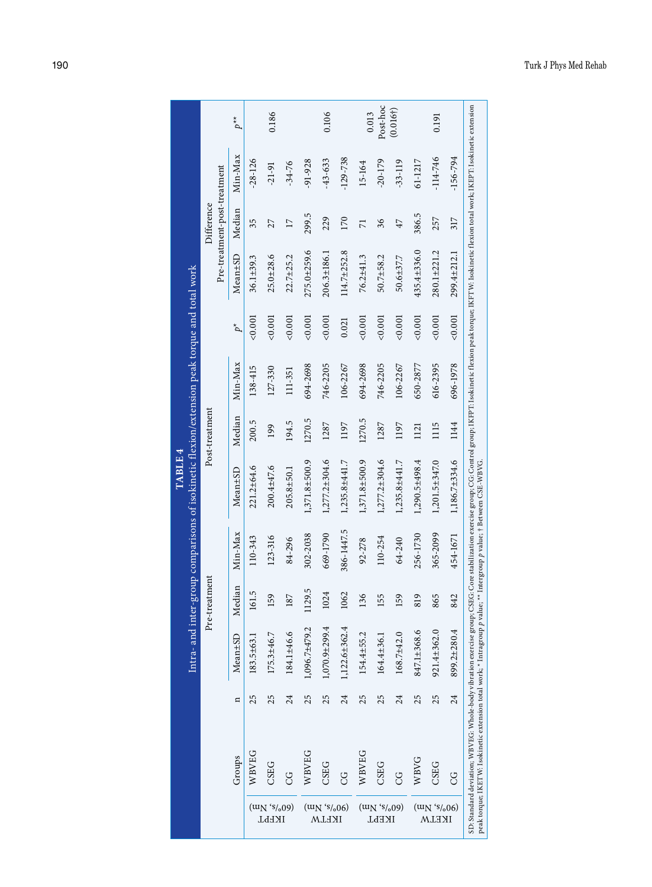|                                                                                                          |            |                              | $p^{**}$              |                 | 0.186                         |                 |                 | 0.106                               |               | 0.013          | Post-hoc                      | $(0.016\dagger)$ |               | 0.191                      |               |                                                                                                                                                                                                                                                                                                                                                        |
|----------------------------------------------------------------------------------------------------------|------------|------------------------------|-----------------------|-----------------|-------------------------------|-----------------|-----------------|-------------------------------------|---------------|----------------|-------------------------------|------------------|---------------|----------------------------|---------------|--------------------------------------------------------------------------------------------------------------------------------------------------------------------------------------------------------------------------------------------------------------------------------------------------------------------------------------------------------|
|                                                                                                          |            |                              | Min-Max               | $-28 - 126$     | $-21 - 91$                    | $-34 - 76$      | $-91 - 928$     | $-43 - 633$                         | $-129 - 738$  | 15-164         | $-20 - 179$                   | $-33 - 119$      | 61-1217       | $-114 - 746$               | $-156 - 794$  |                                                                                                                                                                                                                                                                                                                                                        |
|                                                                                                          | Difference | Pre-treatment-post-treatment | Median                | 35              | 27                            | $\overline{17}$ | 299.5           | 229                                 | 170           | $\overline{7}$ | 36                            | 47               | 386.5         | 257                        | 317           |                                                                                                                                                                                                                                                                                                                                                        |
|                                                                                                          |            |                              | Mean <sup>+SD</sup>   | $36.1 \pm 39.3$ | $25.0 + 28.6$                 | $22.7 \pm 25.2$ | $275.0 + 259.6$ | 206.3±186.1                         | 114.7±252.8   | 76.2±41.3      | 50.7±58.2                     | 50.6±37.7        | 435.4±336.0   | $280.1 \pm 221.2$          | 299.4±212.1   |                                                                                                                                                                                                                                                                                                                                                        |
|                                                                                                          |            |                              | $\mathcal{P}^{\star}$ | 0.001           | 0.001                         | 0.001           | 0.001           | 0.001                               | 0.021         | 0.001          | &0.001                        | 0.001            | 0.001         | 0.001                      | 0.001         |                                                                                                                                                                                                                                                                                                                                                        |
|                                                                                                          |            | Post-treatment               | Min-Max               | 138-415         | 127-330                       | 111-351         | 694-2698        | 746-2205                            | 106-2267      | 694-2698       | 746-2205                      | 106-2267         | 650-2877      | 616-2395                   | 696-1978      |                                                                                                                                                                                                                                                                                                                                                        |
|                                                                                                          |            |                              | Median                | 200.5           | 199                           | 194.5           | 1270.5          | 1287                                | 1197          | 1270.5         | 1287                          | 1197             | 1121          | 1115                       | 1144          |                                                                                                                                                                                                                                                                                                                                                        |
| Intra- and inter-group comparisons of isokinetic flexion/extension peak torque and total work<br>TABLE 4 |            |                              | Mean±SD               | 221.2±64.6      | 200.4±47.6                    | 205.8±50.1      | 1,371.8±500.9   | 1,277.2±304.6                       | 1,235.8±441.7 | 1,371.8±500.9  | $1,277.2 \pm 304.6$           | 1,235.8±441.7    | 1,290.5±498.4 | $1,201.5 \pm 347.0$        | 1,186.7±334.6 |                                                                                                                                                                                                                                                                                                                                                        |
|                                                                                                          |            | Pre-treatment                | Min-Max               | 110-343         | 123-316                       | 84-296          | 302-2038        | 669-1790                            | 386-1447.5    | 92-278         | 110-254                       | 64-240           | 256-1730      | 365-2099                   | 454-1671      |                                                                                                                                                                                                                                                                                                                                                        |
|                                                                                                          |            |                              |                       | ledian<br>Z     | 161.5                         | 159             | 187             | 1129.5                              | 1024          | 1062           | 136                           | 155              | 159           | 819                        | 865           | 842                                                                                                                                                                                                                                                                                                                                                    |
|                                                                                                          |            |                              | Mean±SD               | 183.5±63.1      | 175.3±46.7                    | 184.1±46.6      | 1,096.7±479.2   | $1,070.9 + 299.4$                   | 1,122.6±362.4 | 154.4±55.2     | 164.4±36.1                    | $168.7 + 42.0$   | 847.1±368.6   | 921.4±362.0                | 899.2±280.4   |                                                                                                                                                                                                                                                                                                                                                        |
|                                                                                                          |            |                              | Ξ                     | 25              | 25                            | 24              | 25              | 25                                  | 24            | 25             | 25                            | 24               | 25            | 25                         | 24            |                                                                                                                                                                                                                                                                                                                                                        |
|                                                                                                          |            |                              | Groups                | WBVEG           | CSEG                          | g               | WBVEG           | CSEG                                | <b>CG</b>     | WBVEG          | CSEG                          | ပ္ပ              | <b>WBVG</b>   | CSEG                       | S             | SD: Standard deviation, WBVEG: Whole-body vibration exercise group; CSEG: Core stabilization exercise group; CG: Control group; IKFPT: Isokinetic flexion peak torque; IKFTW: Isokinetic flexion total work; IKEPT: Isokinetic<br>peak torque; IKETW: Isokinetic extension total work; * Intragroup p value; ** Intergroup p value; † Between CSE-WBVG |
|                                                                                                          |            |                              |                       |                 | $(u_N \nvert s/009)$<br>IKFPT |                 |                 | $(u_N \nvert s/06)$<br><b>IKFTW</b> |               |                | $(u_N \nvert s/009)$<br>IKEPT |                  |               | (WN 's/06)<br><b>IKELM</b> |               |                                                                                                                                                                                                                                                                                                                                                        |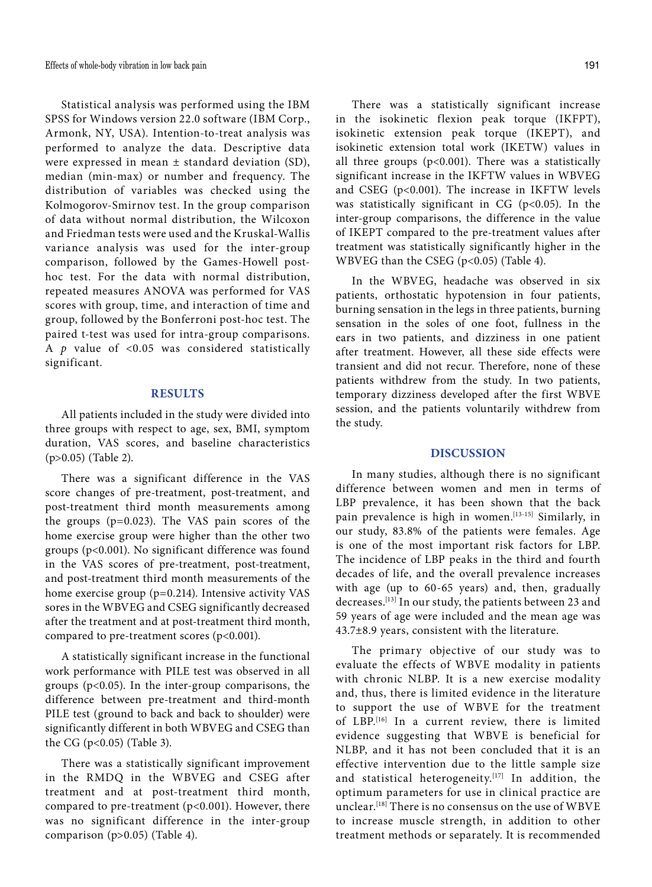Statistical analysis was performed using the IBM SPSS for Windows version 22.0 software (IBM Corp., Armonk, NY, USA). Intention-to-treat analysis was performed to analyze the data. Descriptive data were expressed in mean ± standard deviation (SD), median (min-max) or number and frequency. The distribution of variables was checked using the Kolmogorov-Smirnov test. In the group comparison of data without normal distribution, the Wilcoxon and Friedman tests were used and the Kruskal-Wallis variance analysis was used for the inter-group comparison, followed by the Games-Howell posthoc test. For the data with normal distribution, repeated measures ANOVA was performed for VAS scores with group, time, and interaction of time and group, followed by the Bonferroni post-hoc test. The paired t-test was used for intra-group comparisons. A *p* value of <0.05 was considered statistically significant.

## **RESULTS**

All patients included in the study were divided into three groups with respect to age, sex, BMI, symptom duration, VAS scores, and baseline characteristics (p>0.05) (Table 2).

There was a significant difference in the VAS score changes of pre-treatment, post-treatment, and post-treatment third month measurements among the groups (p=0.023). The VAS pain scores of the home exercise group were higher than the other two groups (p<0.001). No significant difference was found in the VAS scores of pre-treatment, post-treatment, and post-treatment third month measurements of the home exercise group (p=0.214). Intensive activity VAS sores in the WBVEG and CSEG significantly decreased after the treatment and at post-treatment third month, compared to pre-treatment scores (p<0.001).

A statistically significant increase in the functional work performance with PILE test was observed in all groups (p<0.05). In the inter-group comparisons, the difference between pre-treatment and third-month PILE test (ground to back and back to shoulder) were significantly different in both WBVEG and CSEG than the CG (p<0.05) (Table 3).

There was a statistically significant improvement in the RMDQ in the WBVEG and CSEG after treatment and at post-treatment third month, compared to pre-treatment (p<0.001). However, there was no significant difference in the inter-group comparison (p>0.05) (Table 4).

There was a statistically significant increase in the isokinetic flexion peak torque (IKFPT), isokinetic extension peak torque (IKEPT), and isokinetic extension total work (IKETW) values in all three groups ( $p<0.001$ ). There was a statistically significant increase in the IKFTW values in WBVEG and CSEG (p<0.001). The increase in IKFTW levels was statistically significant in CG ( $p$ <0.05). In the inter-group comparisons, the difference in the value of IKEPT compared to the pre-treatment values after treatment was statistically significantly higher in the WBVEG than the CSEG (p<0.05) (Table 4).

In the WBVEG, headache was observed in six patients, orthostatic hypotension in four patients, burning sensation in the legs in three patients, burning sensation in the soles of one foot, fullness in the ears in two patients, and dizziness in one patient after treatment. However, all these side effects were transient and did not recur. Therefore, none of these patients withdrew from the study. In two patients, temporary dizziness developed after the first WBVE session, and the patients voluntarily withdrew from the study.

## **DISCUSSION**

In many studies, although there is no significant difference between women and men in terms of LBP prevalence, it has been shown that the back pain prevalence is high in women.<sup>[13-15]</sup> Similarly, in our study, 83.8% of the patients were females. Age is one of the most important risk factors for LBP. The incidence of LBP peaks in the third and fourth decades of life, and the overall prevalence increases with age (up to 60-65 years) and, then, gradually decreases.[13] In our study, the patients between 23 and 59 years of age were included and the mean age was 43.7±8.9 years, consistent with the literature.

The primary objective of our study was to evaluate the effects of WBVE modality in patients with chronic NLBP. It is a new exercise modality and, thus, there is limited evidence in the literature to support the use of WBVE for the treatment of LBP.[16] In a current review, there is limited evidence suggesting that WBVE is beneficial for NLBP, and it has not been concluded that it is an effective intervention due to the little sample size and statistical heterogeneity.<sup>[17]</sup> In addition, the optimum parameters for use in clinical practice are unclear.[18] There is no consensus on the use of WBVE to increase muscle strength, in addition to other treatment methods or separately. It is recommended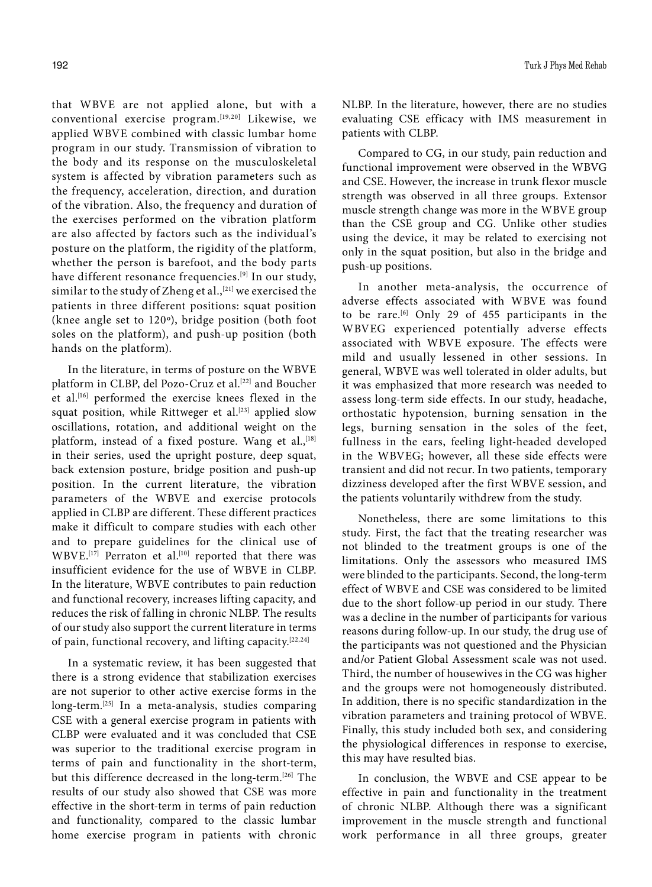that WBVE are not applied alone, but with a conventional exercise program.[19,20] Likewise, we applied WBVE combined with classic lumbar home program in our study. Transmission of vibration to the body and its response on the musculoskeletal system is affected by vibration parameters such as the frequency, acceleration, direction, and duration of the vibration. Also, the frequency and duration of the exercises performed on the vibration platform are also affected by factors such as the individual's posture on the platform, the rigidity of the platform, whether the person is barefoot, and the body parts have different resonance frequencies.[9] In our study, similar to the study of Zheng et al.,<sup>[21]</sup> we exercised the patients in three different positions: squat position (knee angle set to 120º), bridge position (both foot soles on the platform), and push-up position (both hands on the platform).

In the literature, in terms of posture on the WBVE platform in CLBP, del Pozo-Cruz et al.<sup>[22]</sup> and Boucher et al.[16] performed the exercise knees flexed in the squat position, while Rittweger et al.<sup>[23]</sup> applied slow oscillations, rotation, and additional weight on the platform, instead of a fixed posture. Wang et al.,<sup>[18]</sup> in their series, used the upright posture, deep squat, back extension posture, bridge position and push-up position. In the current literature, the vibration parameters of the WBVE and exercise protocols applied in CLBP are different. These different practices make it difficult to compare studies with each other and to prepare guidelines for the clinical use of WBVE.<sup>[17]</sup> Perraton et al.<sup>[10]</sup> reported that there was insufficient evidence for the use of WBVE in CLBP. In the literature, WBVE contributes to pain reduction and functional recovery, increases lifting capacity, and reduces the risk of falling in chronic NLBP. The results of our study also support the current literature in terms of pain, functional recovery, and lifting capacity.[22,24]

In a systematic review, it has been suggested that there is a strong evidence that stabilization exercises are not superior to other active exercise forms in the long-term.[25] In a meta-analysis, studies comparing CSE with a general exercise program in patients with CLBP were evaluated and it was concluded that CSE was superior to the traditional exercise program in terms of pain and functionality in the short-term, but this difference decreased in the long-term.[26] The results of our study also showed that CSE was more effective in the short-term in terms of pain reduction and functionality, compared to the classic lumbar home exercise program in patients with chronic NLBP. In the literature, however, there are no studies evaluating CSE efficacy with IMS measurement in patients with CLBP.

Compared to CG, in our study, pain reduction and functional improvement were observed in the WBVG and CSE. However, the increase in trunk flexor muscle strength was observed in all three groups. Extensor muscle strength change was more in the WBVE group than the CSE group and CG. Unlike other studies using the device, it may be related to exercising not only in the squat position, but also in the bridge and push-up positions.

In another meta-analysis, the occurrence of adverse effects associated with WBVE was found to be rare.[6] Only 29 of 455 participants in the WBVEG experienced potentially adverse effects associated with WBVE exposure. The effects were mild and usually lessened in other sessions. In general, WBVE was well tolerated in older adults, but it was emphasized that more research was needed to assess long-term side effects. In our study, headache, orthostatic hypotension, burning sensation in the legs, burning sensation in the soles of the feet, fullness in the ears, feeling light-headed developed in the WBVEG; however, all these side effects were transient and did not recur. In two patients, temporary dizziness developed after the first WBVE session, and the patients voluntarily withdrew from the study.

Nonetheless, there are some limitations to this study. First, the fact that the treating researcher was not blinded to the treatment groups is one of the limitations. Only the assessors who measured IMS were blinded to the participants. Second, the long-term effect of WBVE and CSE was considered to be limited due to the short follow-up period in our study. There was a decline in the number of participants for various reasons during follow-up. In our study, the drug use of the participants was not questioned and the Physician and/or Patient Global Assessment scale was not used. Third, the number of housewives in the CG was higher and the groups were not homogeneously distributed. In addition, there is no specific standardization in the vibration parameters and training protocol of WBVE. Finally, this study included both sex, and considering the physiological differences in response to exercise, this may have resulted bias.

In conclusion, the WBVE and CSE appear to be effective in pain and functionality in the treatment of chronic NLBP. Although there was a significant improvement in the muscle strength and functional work performance in all three groups, greater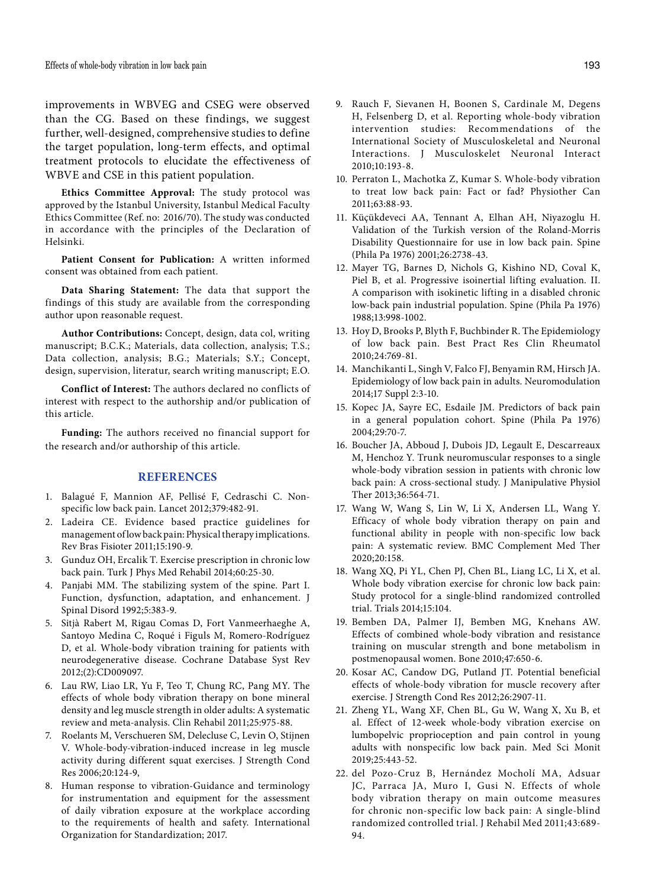improvements in WBVEG and CSEG were observed than the CG. Based on these findings, we suggest further, well-designed, comprehensive studies to define the target population, long-term effects, and optimal treatment protocols to elucidate the effectiveness of WBVE and CSE in this patient population.

**Ethics Committee Approval:** The study protocol was approved by the Istanbul University, Istanbul Medical Faculty Ethics Committee (Ref. no: 2016/70). The study was conducted in accordance with the principles of the Declaration of Helsinki.

**Patient Consent for Publication:** A written informed consent was obtained from each patient.

**Data Sharing Statement:** The data that support the findings of this study are available from the corresponding author upon reasonable request.

**Author Contributions:** Concept, design, data col, writing manuscript; B.C.K.; Materials, data collection, analysis; T.S.; Data collection, analysis; B.G.; Materials; S.Y.; Concept, design, supervision, literatur, search writing manuscript; E.O.

**Conflict of Interest:** The authors declared no conflicts of interest with respect to the authorship and/or publication of this article.

**Funding:** The authors received no financial support for the research and/or authorship of this article.

# **REFERENCES**

- 1. Balagué F, Mannion AF, Pellisé F, Cedraschi C. Nonspecific low back pain. Lancet 2012;379:482-91.
- 2. Ladeira CE. Evidence based practice guidelines for management of low back pain: Physical therapy implications. Rev Bras Fisioter 2011;15:190-9.
- 3. Gunduz OH, Ercalik T. Exercise prescription in chronic low back pain. Turk J Phys Med Rehabil 2014;60:25-30.
- 4. Panjabi MM. The stabilizing system of the spine. Part I. Function, dysfunction, adaptation, and enhancement. J Spinal Disord 1992;5:383-9.
- 5. Sitjà Rabert M, Rigau Comas D, Fort Vanmeerhaeghe A, Santoyo Medina C, Roqué i Figuls M, Romero-Rodríguez D, et al. Whole-body vibration training for patients with neurodegenerative disease. Cochrane Database Syst Rev 2012;(2):CD009097.
- 6. Lau RW, Liao LR, Yu F, Teo T, Chung RC, Pang MY. The effects of whole body vibration therapy on bone mineral density and leg muscle strength in older adults: A systematic review and meta-analysis. Clin Rehabil 2011;25:975-88.
- 7. Roelants M, Verschueren SM, Delecluse C, Levin O, Stijnen V. Whole-body-vibration-induced increase in leg muscle activity during different squat exercises. J Strength Cond Res 2006;20:124-9,
- 8. Human response to vibration-Guidance and terminology for instrumentation and equipment for the assessment of daily vibration exposure at the workplace according to the requirements of health and safety. International Organization for Standardization; 2017.
- 9. Rauch F, Sievanen H, Boonen S, Cardinale M, Degens H, Felsenberg D, et al. Reporting whole-body vibration intervention studies: Recommendations of the International Society of Musculoskeletal and Neuronal Interactions. J Musculoskelet Neuronal Interact 2010;10:193-8.
- 10. Perraton L, Machotka Z, Kumar S. Whole-body vibration to treat low back pain: Fact or fad? Physiother Can 2011;63:88-93.
- 11. Küçükdeveci AA, Tennant A, Elhan AH, Niyazoglu H. Validation of the Turkish version of the Roland-Morris Disability Questionnaire for use in low back pain. Spine (Phila Pa 1976) 2001;26:2738-43.
- 12. Mayer TG, Barnes D, Nichols G, Kishino ND, Coval K, Piel B, et al. Progressive isoinertial lifting evaluation. II. A comparison with isokinetic lifting in a disabled chronic low-back pain industrial population. Spine (Phila Pa 1976) 1988;13:998-1002.
- 13. Hoy D, Brooks P, Blyth F, Buchbinder R. The Epidemiology of low back pain. Best Pract Res Clin Rheumatol 2010;24:769-81.
- 14. Manchikanti L, Singh V, Falco FJ, Benyamin RM, Hirsch JA. Epidemiology of low back pain in adults. Neuromodulation 2014;17 Suppl 2:3-10.
- 15. Kopec JA, Sayre EC, Esdaile JM. Predictors of back pain in a general population cohort. Spine (Phila Pa 1976) 2004;29:70-7.
- 16. Boucher JA, Abboud J, Dubois JD, Legault E, Descarreaux M, Henchoz Y. Trunk neuromuscular responses to a single whole-body vibration session in patients with chronic low back pain: A cross-sectional study. J Manipulative Physiol Ther 2013;36:564-71.
- 17. Wang W, Wang S, Lin W, Li X, Andersen LL, Wang Y. Efficacy of whole body vibration therapy on pain and functional ability in people with non-specific low back pain: A systematic review. BMC Complement Med Ther 2020;20:158.
- 18. Wang XQ, Pi YL, Chen PJ, Chen BL, Liang LC, Li X, et al. Whole body vibration exercise for chronic low back pain: Study protocol for a single-blind randomized controlled trial. Trials 2014;15:104.
- 19. Bemben DA, Palmer IJ, Bemben MG, Knehans AW. Effects of combined whole-body vibration and resistance training on muscular strength and bone metabolism in postmenopausal women. Bone 2010;47:650-6.
- 20. Kosar AC, Candow DG, Putland JT. Potential beneficial effects of whole-body vibration for muscle recovery after exercise. J Strength Cond Res 2012;26:2907-11.
- 21. Zheng YL, Wang XF, Chen BL, Gu W, Wang X, Xu B, et al. Effect of 12-week whole-body vibration exercise on lumbopelvic proprioception and pain control in young adults with nonspecific low back pain. Med Sci Monit 2019;25:443-52.
- 22. del Pozo-Cruz B, Hernández Mocholí MA, Adsuar JC, Parraca JA, Muro I, Gusi N. Effects of whole body vibration therapy on main outcome measures for chronic non-specific low back pain: A single-blind randomized controlled trial. J Rehabil Med 2011;43:689- 94.